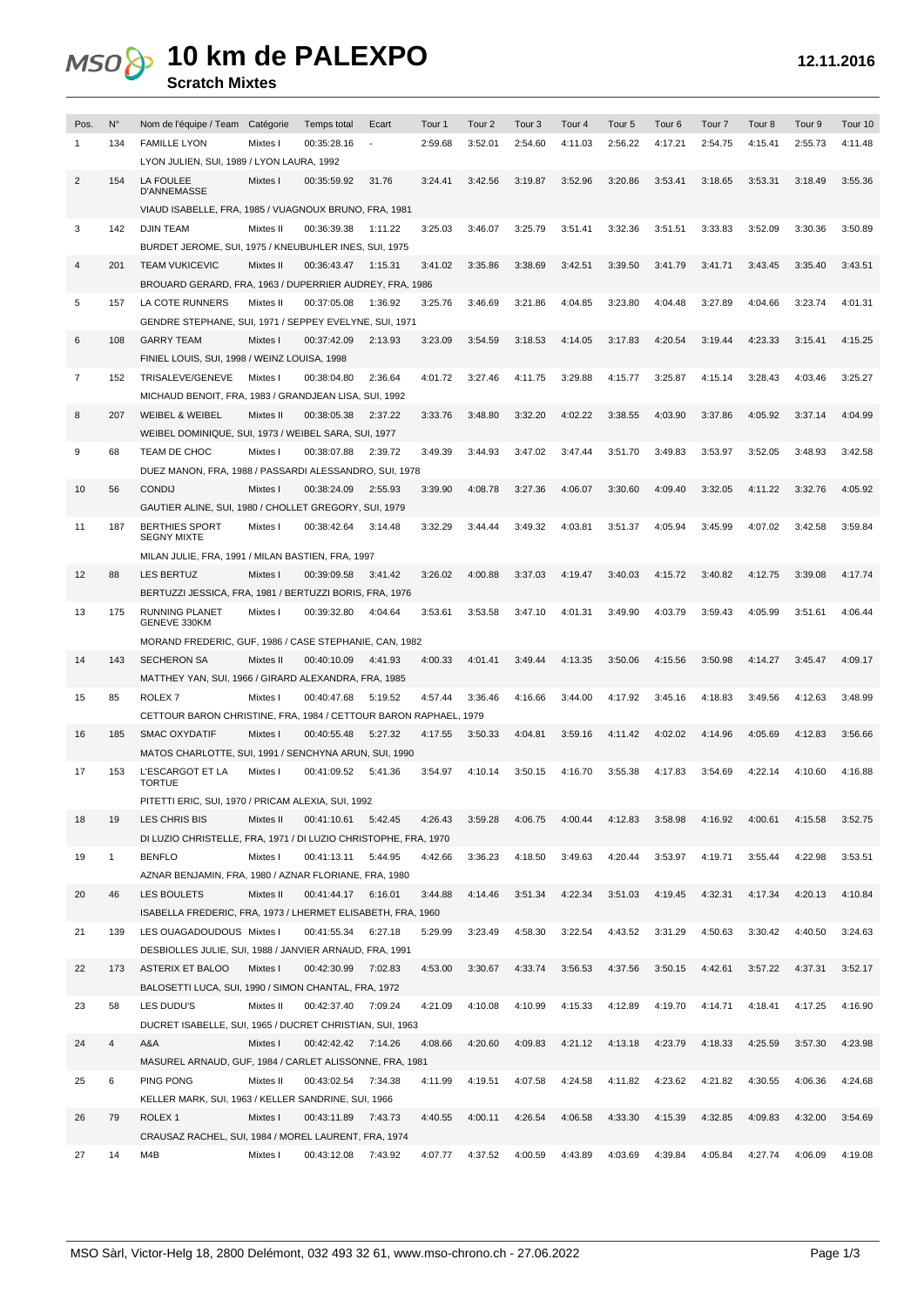## MSO & 10 km de PALEXPO

|                                                        |             | <b>Scratch MIXTES</b>                                   |           |             |         |                   |                   |                   |                   |         |                   |                   |         |         |         |  |
|--------------------------------------------------------|-------------|---------------------------------------------------------|-----------|-------------|---------|-------------------|-------------------|-------------------|-------------------|---------|-------------------|-------------------|---------|---------|---------|--|
|                                                        |             |                                                         |           |             |         |                   |                   |                   |                   |         |                   |                   |         |         |         |  |
| Pos.                                                   | $N^{\circ}$ | Nom de l'équipe / Team Catégorie                        |           | Temps total | Ecart   | Tour <sub>1</sub> | Tour <sub>2</sub> | Tour <sub>3</sub> | Tour <sub>4</sub> | Tour 5  | Tour <sub>6</sub> | Tour <sub>7</sub> | Tour 8  | Tour 9  | Tour 10 |  |
|                                                        | 134         | <b>FAMILLE LYON</b>                                     | Mixtes I  | 00:35:28.16 |         | 2:59.68           | 3:52.01           | 2:54.60           | 4:11.03           | 2:56.22 | 4:17.21           | 2:54.75           | 4:15.41 | 2:55.73 | 4:11.48 |  |
|                                                        |             | LYON JULIEN, SUI, 1989 / LYON LAURA, 1992               |           |             |         |                   |                   |                   |                   |         |                   |                   |         |         |         |  |
| $\overline{2}$                                         | 154         | LA FOULEE<br><b>D'ANNEMASSE</b>                         | Mixtes I  | 00:35:59.92 | 31.76   | 3:24.41           | 3:42.56           | 3:19.87           | 3:52.96           | 3:20.86 | 3:53.41           | 3:18.65           | 3:53.31 | 3:18.49 | 3:55.36 |  |
|                                                        |             | VIAUD ISABELLE, FRA, 1985 / VUAGNOUX BRUNO, FRA, 1981   |           |             |         |                   |                   |                   |                   |         |                   |                   |         |         |         |  |
| 3                                                      | 142         | <b>DJIN TEAM</b>                                        | Mixtes II | 00:36:39.38 | 1:11.22 | 3:25.03           | 3:46.07           | 3:25.79           | 3:51.41           | 3:32.36 | 3:51.51           | 3:33.83           | 3:52.09 | 3:30.36 | 3:50.89 |  |
|                                                        |             | BURDET JEROME, SUI, 1975 / KNEUBUHLER INES, SUI, 1975   |           |             |         |                   |                   |                   |                   |         |                   |                   |         |         |         |  |
| $\overline{4}$                                         | 201         | <b>TEAM VUKICEVIC</b>                                   | Mixtes II | 00:36:43.47 | 1:15.31 | 3:41.02           | 3:35.86           | 3:38.69           | 3:42.51           | 3:39.50 | 3:41.79           | 3:41.71           | 3:43.45 | 3:35.40 | 3:43.51 |  |
|                                                        |             | BROUARD GERARD, FRA, 1963 / DUPERRIER AUDREY, FRA, 1986 |           |             |         |                   |                   |                   |                   |         |                   |                   |         |         |         |  |
| 5.                                                     | 157         | LA COTE RUNNERS                                         | Mixtes II | 00:37:05.08 | 1:36.92 | 3:25.76           | 3:46.69           | 3:21.86           | 4:04.85           | 3:23.80 | 4:04.48           | 3:27.89           | 4:04.66 | 3:23.74 | 4:01.31 |  |
| GENDRE STEPHANE, SUI, 1971 / SEPPEY EVELYNE, SUI, 1971 |             |                                                         |           |             |         |                   |                   |                   |                   |         |                   |                   |         |         |         |  |

| 3  | 142 | <b>DJIN TEAM</b>                                                 | Mixtes II | 00:36:39.38         | 1:11.22 | 3:25.03 | 3:46.07 | 3:25.79 | 3:51.41 | 3:32.36 | 3:51.51 | 3:33.83 | 3:52.09 | 3:30.36 | 3:50.89 |
|----|-----|------------------------------------------------------------------|-----------|---------------------|---------|---------|---------|---------|---------|---------|---------|---------|---------|---------|---------|
|    |     | BURDET JEROME, SUI, 1975 / KNEUBUHLER INES, SUI, 1975            |           |                     |         |         |         |         |         |         |         |         |         |         |         |
| 4  | 201 | <b>TEAM VUKICEVIC</b>                                            | Mixtes II | 00:36:43.47         | 1:15.31 | 3:41.02 | 3:35.86 | 3:38.69 | 3:42.51 | 3:39.50 | 3:41.79 | 3:41.71 | 3:43.45 | 3:35.40 | 3:43.51 |
|    |     | BROUARD GERARD, FRA, 1963 / DUPERRIER AUDREY, FRA, 1986          |           |                     |         |         |         |         |         |         |         |         |         |         |         |
| 5  | 157 | LA COTE RUNNERS                                                  | Mixtes II | 00:37:05.08         | 1:36.92 | 3:25.76 | 3:46.69 | 3:21.86 | 4:04.85 | 3:23.80 | 4:04.48 | 3:27.89 | 4:04.66 | 3:23.74 | 4:01.31 |
|    |     | GENDRE STEPHANE, SUI, 1971 / SEPPEY EVELYNE, SUI, 1971           |           |                     |         |         |         |         |         |         |         |         |         |         |         |
| 6  | 108 | <b>GARRY TEAM</b>                                                | Mixtes I  | 00:37:42.09         | 2:13.93 | 3:23.09 | 3:54.59 | 3:18.53 | 4:14.05 | 3:17.83 | 4:20.54 | 3:19.44 | 4:23.33 | 3:15.41 | 4:15.25 |
|    |     | FINIEL LOUIS, SUI, 1998 / WEINZ LOUISA, 1998                     |           |                     |         |         |         |         |         |         |         |         |         |         |         |
| 7  | 152 | TRISALEVE/GENEVE                                                 | Mixtes I  | 00:38:04.80         | 2:36.64 | 4:01.72 | 3:27.46 | 4:11.75 | 3:29.88 | 4:15.77 | 3:25.87 | 4:15.14 | 3:28.43 | 4:03.46 | 3:25.27 |
|    |     | MICHAUD BENOIT, FRA, 1983 / GRANDJEAN LISA, SUI, 1992            |           |                     |         |         |         |         |         |         |         |         |         |         |         |
| 8  | 207 | <b>WEIBEL &amp; WEIBEL</b>                                       | Mixtes II | 00:38:05.38         | 2:37.22 | 3:33.76 | 3:48.80 | 3:32.20 | 4:02.22 | 3:38.55 | 4:03.90 | 3:37.86 | 4:05.92 | 3:37.14 | 4:04.99 |
|    |     | WEIBEL DOMINIQUE, SUI, 1973 / WEIBEL SARA, SUI, 1977             |           |                     |         |         |         |         |         |         |         |         |         |         |         |
| 9  | 68  | TEAM DE CHOC                                                     | Mixtes I  | 00:38:07.88         | 2:39.72 | 3:49.39 | 3:44.93 | 3:47.02 | 3:47.44 | 3:51.70 | 3:49.83 | 3:53.97 | 3:52.05 | 3:48.93 | 3:42.58 |
|    |     | DUEZ MANON, FRA, 1988 / PASSARDI ALESSANDRO, SUI, 1978           |           |                     |         |         |         |         |         |         |         |         |         |         |         |
| 10 | 56  | <b>CONDIJ</b>                                                    | Mixtes I  | 00:38:24.09         | 2:55.93 | 3:39.90 | 4:08.78 | 3:27.36 | 4:06.07 | 3:30.60 | 4:09.40 | 3:32.05 | 4:11.22 | 3:32.76 | 4:05.92 |
|    |     | GAUTIER ALINE, SUI, 1980 / CHOLLET GREGORY, SUI, 1979            |           |                     |         |         |         |         |         |         |         |         |         |         |         |
| 11 | 187 | <b>BERTHIES SPORT</b><br><b>SEGNY MIXTE</b>                      | Mixtes I  | 00:38:42.64         | 3:14.48 | 3:32.29 | 3:44.44 | 3:49.32 | 4:03.81 | 3:51.37 | 4:05.94 | 3:45.99 | 4:07.02 | 3:42.58 | 3:59.84 |
|    |     | MILAN JULIE, FRA, 1991 / MILAN BASTIEN, FRA, 1997                |           |                     |         |         |         |         |         |         |         |         |         |         |         |
| 12 | 88  | <b>LES BERTUZ</b>                                                | Mixtes I  | 00:39:09.58         | 3:41.42 | 3:26.02 | 4:00.88 | 3:37.03 | 4:19.47 | 3:40.03 | 4:15.72 | 3:40.82 | 4:12.75 | 3:39.08 | 4:17.74 |
|    |     | BERTUZZI JESSICA, FRA, 1981 / BERTUZZI BORIS, FRA, 1976          |           |                     |         |         |         |         |         |         |         |         |         |         |         |
| 13 | 175 | <b>RUNNING PLANET</b>                                            | Mixtes I  | 00:39:32.80         | 4:04.64 | 3:53.61 | 3:53.58 | 3:47.10 | 4:01.31 | 3:49.90 | 4:03.79 | 3:59.43 | 4:05.99 | 3:51.61 | 4:06.44 |
|    |     | GENEVE 330KM                                                     |           |                     |         |         |         |         |         |         |         |         |         |         |         |
|    |     | MORAND FREDERIC, GUF, 1986 / CASE STEPHANIE, CAN, 1982           |           |                     |         |         |         |         |         |         |         |         |         |         |         |
| 14 | 143 | <b>SECHERON SA</b>                                               | Mixtes II | 00:40:10.09         | 4:41.93 | 4:00.33 | 4:01.41 | 3:49.44 | 4:13.35 | 3:50.06 | 4:15.56 | 3:50.98 | 4:14.27 | 3:45.47 | 4:09.17 |
|    |     | MATTHEY YAN, SUI, 1966 / GIRARD ALEXANDRA, FRA, 1985             |           |                     |         |         |         |         |         |         |         |         |         |         |         |
| 15 | 85  | ROLEX <sub>7</sub>                                               | Mixtes I  | 00:40:47.68         | 5:19.52 | 4:57.44 | 3:36.46 | 4:16.66 | 3:44.00 | 4:17.92 | 3:45.16 | 4:18.83 | 3:49.56 | 4:12.63 | 3:48.99 |
|    |     | CETTOUR BARON CHRISTINE, FRA, 1984 / CETTOUR BARON RAPHAEL, 1979 |           |                     |         |         |         |         |         |         |         |         |         |         |         |
| 16 | 185 | <b>SMAC OXYDATIF</b>                                             | Mixtes I  | 00:40:55.48         | 5:27.32 | 4:17.55 | 3:50.33 | 4:04.81 | 3:59.16 | 4:11.42 | 4:02.02 | 4:14.96 | 4:05.69 | 4:12.83 | 3:56.66 |
|    |     | MATOS CHARLOTTE, SUI, 1991 / SENCHYNA ARUN, SUI, 1990            |           |                     |         |         |         |         |         |         |         |         |         |         |         |
| 17 | 153 | L'ESCARGOT ET LA<br><b>TORTUE</b>                                | Mixtes I  | 00:41:09.52         | 5:41.36 | 3:54.97 | 4:10.14 | 3:50.15 | 4:16.70 | 3:55.38 | 4:17.83 | 3:54.69 | 4:22.14 | 4:10.60 | 4:16.88 |
|    |     | PITETTI ERIC, SUI, 1970 / PRICAM ALEXIA, SUI, 1992               |           |                     |         |         |         |         |         |         |         |         |         |         |         |
| 18 | 19  | LES CHRIS BIS                                                    | Mixtes II | 00:41:10.61         | 5:42.45 | 4:26.43 | 3:59.28 | 4:06.75 | 4:00.44 | 4:12.83 | 3:58.98 | 4:16.92 | 4:00.61 | 4:15.58 | 3:52.75 |
|    |     | DI LUZIO CHRISTELLE, FRA, 1971 / DI LUZIO CHRISTOPHE, FRA, 1970  |           |                     |         |         |         |         |         |         |         |         |         |         |         |
| 19 | 1   | <b>BENFLO</b>                                                    | Mixtes I  | 00:41:13.11         | 5:44.95 | 4:42.66 | 3:36.23 | 4:18.50 | 3:49.63 | 4:20.44 | 3:53.97 | 4:19.71 | 3:55.44 | 4:22.98 | 3:53.51 |
|    |     | AZNAR BENJAMIN, FRA, 1980 / AZNAR FLORIANE, FRA, 1980            |           |                     |         |         |         |         |         |         |         |         |         |         |         |
| 20 | 46  | <b>LES BOULETS</b>                                               | Mixtes II | 00:41:44.17         | 6:16.01 | 3:44.88 | 4:14.46 | 3:51.34 | 4:22.34 | 3:51.03 | 4:19.45 | 4:32.31 | 4:17.34 | 4:20.13 | 4:10.84 |
|    |     | ISABELLA FREDERIC, FRA, 1973 / LHERMET ELISABETH, FRA, 1960      |           |                     |         |         |         |         |         |         |         |         |         |         |         |
| 21 | 139 | LES OUAGADOUDOUS Mixtes I                                        |           | 00:41:55.34         | 6:27.18 | 5:29.99 | 3:23.49 | 4:58.30 | 3:22.54 | 4:43.52 | 3:31.29 | 4:50.63 | 3:30.42 | 4:40.50 | 3:24.63 |
|    |     | DESBIOLLES JULIE, SUI, 1988 / JANVIER ARNAUD, FRA, 1991          |           |                     |         |         |         |         |         |         |         |         |         |         |         |
| 22 | 173 | ASTERIX ET BALOO                                                 | Mixtes I  | 00:42:30.99         | 7:02.83 | 4:53.00 | 3:30.67 | 4:33.74 | 3:56.53 | 4:37.56 | 3:50.15 | 4:42.61 | 3:57.22 | 4:37.31 | 3:52.17 |
|    |     | BALOSETTI LUCA, SUI, 1990 / SIMON CHANTAL, FRA, 1972             |           |                     |         |         |         |         |         |         |         |         |         |         |         |
| 23 | 58  | LES DUDU'S                                                       | Mixtes II | 00:42:37.40 7:09.24 |         | 4:21.09 | 4:10.08 | 4:10.99 | 4:15.33 | 4:12.89 | 4:19.70 | 4:14.71 | 4:18.41 | 4:17.25 | 4:16.90 |
|    |     | DUCRET ISABELLE, SUI, 1965 / DUCRET CHRISTIAN, SUI, 1963         |           |                     |         |         |         |         |         |         |         |         |         |         |         |
| 24 | 4   | A&A                                                              | Mixtes I  | 00:42:42.42 7:14.26 |         | 4:08.66 | 4:20.60 | 4:09.83 | 4:21.12 | 4:13.18 | 4:23.79 | 4:18.33 | 4:25.59 | 3:57.30 | 4:23.98 |
|    |     | MASUREL ARNAUD, GUF, 1984 / CARLET ALISSONNE, FRA, 1981          |           |                     |         |         |         |         |         |         |         |         |         |         |         |
|    | 6   | <b>PING PONG</b>                                                 | Mixtes II | 00:43:02.54         |         |         |         |         | 4:24.58 |         | 4:23.62 | 4:21.82 | 4:30.55 | 4:06.36 | 4:24.68 |
| 25 |     |                                                                  |           |                     | 7:34.38 | 4:11.99 | 4:19.51 | 4:07.58 |         | 4:11.82 |         |         |         |         |         |
|    |     | KELLER MARK, SUI, 1963 / KELLER SANDRINE, SUI, 1966              |           |                     |         |         |         |         |         |         |         |         |         |         |         |
| 26 | 79  | ROLEX <sub>1</sub>                                               | Mixtes I  | 00:43:11.89 7:43.73 |         | 4:40.55 | 4:00.11 | 4:26.54 | 4:06.58 | 4:33.30 | 4:15.39 | 4:32.85 | 4:09.83 | 4:32.00 | 3:54.69 |
|    |     | CRAUSAZ RACHEL, SUI, 1984 / MOREL LAURENT, FRA, 1974             |           |                     |         |         |         |         |         |         |         |         |         |         |         |
| 27 | 14  | M4B                                                              | Mixtes I  | 00:43:12.08 7:43.92 |         | 4:07.77 | 4:37.52 | 4:00.59 | 4:43.89 | 4:03.69 | 4:39.84 | 4:05.84 | 4:27.74 | 4:06.09 | 4:19.08 |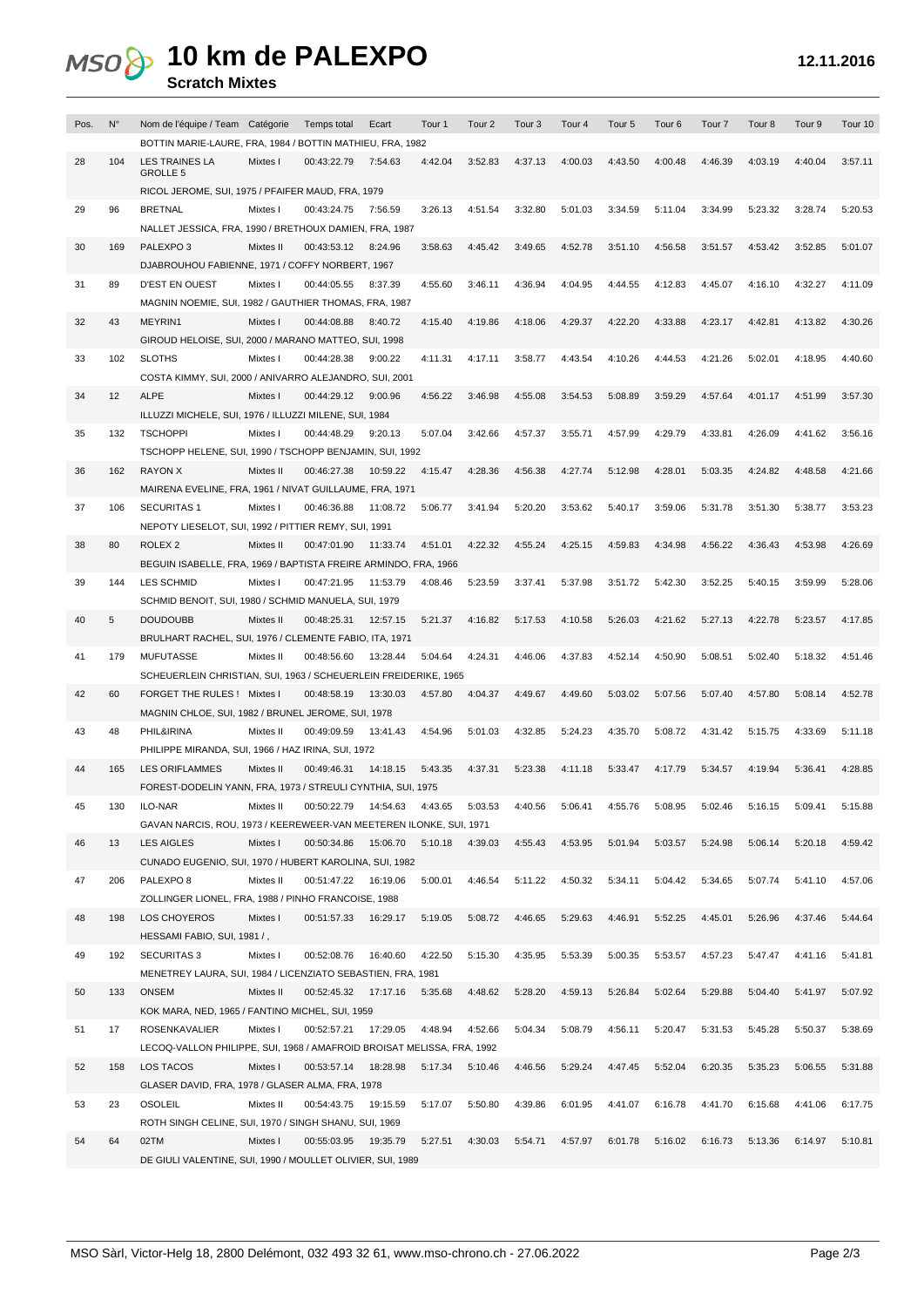## **10 km de PALEXPO**

## **Scratch Mixtes**

| Pos. | $N^{\circ}$ | Nom de l'équipe / Team Catégorie                                       |           | Temps total           | Ecart    | Tour 1  | Tour <sub>2</sub> | Tour <sub>3</sub> | Tour <sub>4</sub> | Tour <sub>5</sub> | Tour <sub>6</sub> | Tour <sub>7</sub> | Tour <sub>8</sub> | Tour 9  | Tour 10 |
|------|-------------|------------------------------------------------------------------------|-----------|-----------------------|----------|---------|-------------------|-------------------|-------------------|-------------------|-------------------|-------------------|-------------------|---------|---------|
|      |             | BOTTIN MARIE-LAURE, FRA, 1984 / BOTTIN MATHIEU, FRA, 1982              |           |                       |          |         |                   |                   |                   |                   |                   |                   |                   |         |         |
| 28   | 104         | LES TRAINES LA<br><b>GROLLE 5</b>                                      | Mixtes I  | 00:43:22.79           | 7:54.63  | 4:42.04 | 3:52.83           | 4:37.13           | 4:00.03           | 4:43.50           | 4:00.48           | 4:46.39           | 4:03.19           | 4:40.04 | 3:57.11 |
|      |             | RICOL JEROME, SUI, 1975 / PFAIFER MAUD, FRA, 1979                      |           |                       |          |         |                   |                   |                   |                   |                   |                   |                   |         |         |
| 29   | 96          | <b>BRETNAL</b>                                                         | Mixtes I  | 00:43:24.75           | 7:56.59  | 3:26.13 | 4:51.54           | 3:32.80           | 5:01.03           | 3:34.59           | 5:11.04           | 3:34.99           | 5:23.32           | 3:28.74 | 5:20.53 |
|      |             | NALLET JESSICA, FRA, 1990 / BRETHOUX DAMIEN, FRA, 1987                 |           |                       |          |         |                   |                   |                   |                   |                   |                   |                   |         |         |
| 30   | 169         | PALEXPO3                                                               | Mixtes II | 00:43:53.12           | 8:24.96  | 3:58.63 | 4:45.42           | 3:49.65           | 4:52.78           | 3:51.10           | 4:56.58           | 3:51.57           | 4:53.42           | 3:52.85 | 5:01.07 |
|      |             | DJABROUHOU FABIENNE, 1971 / COFFY NORBERT, 1967                        |           |                       |          |         |                   |                   |                   |                   |                   |                   |                   |         |         |
| 31   | 89          | <b>D'EST EN OUEST</b>                                                  | Mixtes I  | 00:44:05.55           | 8:37.39  | 4:55.60 | 3:46.11           | 4:36.94           | 4:04.95           | 4:44.55           | 4:12.83           | 4:45.07           | 4:16.10           | 4:32.27 | 4:11.09 |
|      |             | MAGNIN NOEMIE, SUI, 1982 / GAUTHIER THOMAS, FRA, 1987                  |           |                       |          |         |                   |                   |                   |                   |                   |                   |                   |         |         |
| 32   | 43          | MEYRIN1                                                                | Mixtes I  | 00:44:08.88           | 8:40.72  | 4:15.40 | 4:19.86           | 4:18.06           | 4:29.37           | 4:22.20           | 4:33.88           | 4:23.17           | 4:42.81           | 4:13.82 | 4:30.26 |
|      |             | GIROUD HELOISE, SUI, 2000 / MARANO MATTEO, SUI, 1998                   |           |                       |          |         |                   |                   |                   |                   |                   |                   |                   |         |         |
| 33   | 102         | <b>SLOTHS</b>                                                          | Mixtes I  | 00:44:28.38           | 9:00.22  | 4:11.31 | 4:17.11           | 3:58.77           | 4:43.54           | 4:10.26           | 4:44.53           | 4:21.26           | 5:02.01           | 4:18.95 | 4:40.60 |
|      |             | COSTA KIMMY, SUI, 2000 / ANIVARRO ALEJANDRO, SUI, 2001                 |           |                       |          |         |                   |                   |                   |                   |                   |                   |                   |         |         |
| 34   | 12          | <b>ALPE</b>                                                            | Mixtes I  | 00:44:29.12           | 9:00.96  | 4:56.22 | 3:46.98           | 4:55.08           | 3:54.53           | 5:08.89           | 3:59.29           | 4:57.64           | 4:01.17           | 4:51.99 | 3:57.30 |
|      |             | ILLUZZI MICHELE, SUI, 1976 / ILLUZZI MILENE, SUI, 1984                 |           |                       |          |         |                   |                   |                   |                   |                   |                   |                   |         |         |
| 35   | 132         | <b>TSCHOPPI</b>                                                        | Mixtes I  | 00:44:48.29           | 9:20.13  | 5:07.04 | 3:42.66           | 4:57.37           | 3:55.71           | 4:57.99           | 4:29.79           | 4:33.81           | 4:26.09           | 4:41.62 | 3:56.16 |
|      |             | TSCHOPP HELENE, SUI, 1990 / TSCHOPP BENJAMIN, SUI, 1992                |           |                       |          |         |                   |                   |                   |                   |                   |                   |                   |         |         |
| 36   | 162         | <b>RAYON X</b>                                                         | Mixtes II | 00:46:27.38           | 10:59.22 | 4:15.47 | 4:28.36           | 4:56.38           | 4:27.74           | 5:12.98           | 4:28.01           | 5:03.35           | 4:24.82           | 4:48.58 | 4:21.66 |
|      |             | MAIRENA EVELINE, FRA, 1961 / NIVAT GUILLAUME, FRA, 1971                |           |                       |          |         |                   |                   |                   |                   |                   |                   |                   |         |         |
| 37   | 106         | <b>SECURITAS1</b>                                                      | Mixtes I  | 00:46:36.88           | 11:08.72 | 5:06.77 | 3:41.94           | 5:20.20           | 3:53.62           | 5:40.17           | 3:59.06           | 5:31.78           | 3:51.30           | 5:38.77 | 3:53.23 |
|      |             | NEPOTY LIESELOT, SUI, 1992 / PITTIER REMY, SUI, 1991                   |           |                       |          |         |                   |                   |                   |                   |                   |                   |                   |         |         |
| 38   | 80          | ROLEX <sub>2</sub>                                                     | Mixtes II | 00:47:01.90           | 11:33.74 | 4:51.01 | 4:22.32           | 4:55.24           | 4:25.15           | 4:59.83           | 4:34.98           | 4:56.22           | 4:36.43           | 4:53.98 | 4:26.69 |
|      |             | BEGUIN ISABELLE, FRA, 1969 / BAPTISTA FREIRE ARMINDO, FRA, 1966        |           |                       |          |         |                   |                   |                   |                   |                   |                   |                   |         |         |
| 39   | 144         | LES SCHMID                                                             | Mixtes I  | 00:47:21.95           | 11:53.79 | 4:08.46 | 5:23.59           | 3:37.41           | 5:37.98           | 3:51.72           | 5:42.30           | 3:52.25           | 5:40.15           | 3:59.99 | 5:28.06 |
|      |             | SCHMID BENOIT, SUI, 1980 / SCHMID MANUELA, SUI, 1979                   |           |                       |          |         |                   |                   |                   |                   |                   |                   |                   |         |         |
| 40   | 5           | <b>DOUDOUBB</b>                                                        | Mixtes II | 00:48:25.31           | 12:57.15 | 5:21.37 | 4:16.82           | 5:17.53           | 4:10.58           | 5:26.03           | 4:21.62           | 5:27.13           | 4:22.78           | 5:23.57 | 4:17.85 |
|      |             | BRULHART RACHEL, SUI, 1976 / CLEMENTE FABIO, ITA, 1971                 |           |                       |          |         |                   |                   |                   |                   |                   |                   |                   |         |         |
| 41   | 179         | <b>MUFUTASSE</b>                                                       | Mixtes II | 00:48:56.60           | 13:28.44 | 5:04.64 | 4:24.31           | 4:46.06           | 4:37.83           | 4:52.14           | 4:50.90           | 5:08.51           | 5:02.40           | 5:18.32 | 4:51.46 |
|      |             | SCHEUERLEIN CHRISTIAN, SUI, 1963 / SCHEUERLEIN FREIDERIKE, 1965        |           |                       |          |         |                   |                   |                   |                   |                   |                   |                   |         |         |
| 42   | 60          | FORGET THE RULES! Mixtes I                                             |           | 00:48:58.19           | 13:30.03 | 4:57.80 | 4:04.37           | 4:49.67           | 4:49.60           | 5:03.02           | 5:07.56           | 5:07.40           | 4:57.80           | 5:08.14 | 4:52.78 |
|      |             | MAGNIN CHLOE, SUI, 1982 / BRUNEL JEROME, SUI, 1978                     |           |                       |          |         |                   |                   |                   |                   |                   |                   |                   |         |         |
| 43   | 48          | PHIL&IRINA                                                             | Mixtes II | 00:49:09.59           | 13:41.43 | 4:54.96 | 5:01.03           | 4:32.85           | 5:24.23           | 4:35.70           | 5:08.72           | 4:31.42           | 5:15.75           | 4:33.69 | 5:11.18 |
|      |             | PHILIPPE MIRANDA, SUI, 1966 / HAZ IRINA, SUI, 1972                     |           |                       |          |         |                   |                   |                   |                   |                   |                   |                   |         |         |
| 44   | 165         | <b>LES ORIFLAMMES</b>                                                  | Mixtes II | 00:49:46.31           | 14:18.15 | 5:43.35 | 4:37.31           | 5:23.38           | 4:11.18           | 5:33.47           | 4:17.79           | 5:34.57           | 4:19.94           | 5:36.41 | 4:28.85 |
|      |             | FOREST-DODELIN YANN, FRA, 1973 / STREULI CYNTHIA, SUI, 1975            |           |                       |          |         |                   |                   |                   |                   |                   |                   |                   |         |         |
| 45   | 130         | ILO-NAR                                                                | Mixtes II | 00:50:22.79  14:54.63 |          | 4:43.65 | 5:03.53 4:40.56   |                   | 5:06.41  4:55.76  |                   | 5:08.95           | 5:02.46           | 5:16.15           | 5:09.41 | 5:15.88 |
|      |             | GAVAN NARCIS, ROU, 1973 / KEEREWEER-VAN MEETEREN ILONKE, SUI, 1971     |           |                       |          |         |                   |                   |                   |                   |                   |                   |                   |         |         |
| 46   | 13          | <b>LES AIGLES</b>                                                      | Mixtes I  | 00:50:34.86           | 15:06.70 | 5:10.18 | 4:39.03           | 4:55.43           | 4:53.95           | 5:01.94           | 5:03.57           | 5:24.98           | 5:06.14           | 5:20.18 | 4:59.42 |
|      |             | CUNADO EUGENIO, SUI, 1970 / HUBERT KAROLINA, SUI, 1982                 |           |                       |          |         |                   |                   |                   |                   |                   |                   |                   |         |         |
| 47   | 206         | PALEXPO <sub>8</sub>                                                   | Mixtes II | 00:51:47.22           | 16:19.06 | 5:00.01 | 4:46.54           | 5:11.22           | 4:50.32           | 5:34.11           | 5:04.42           | 5:34.65           | 5:07.74           | 5:41.10 | 4:57.06 |
|      |             | ZOLLINGER LIONEL, FRA, 1988 / PINHO FRANCOISE, 1988                    |           |                       |          |         |                   |                   |                   |                   |                   |                   |                   |         |         |
| 48   | 198         | LOS CHOYEROS                                                           | Mixtes I  | 00:51:57.33           | 16:29.17 | 5:19.05 | 5:08.72           | 4:46.65           | 5:29.63           | 4:46.91           | 5:52.25           | 4:45.01           | 5:26.96           | 4:37.46 | 5:44.64 |
|      |             | HESSAMI FABIO, SUI, 1981 /,                                            |           |                       |          |         |                   |                   |                   |                   |                   |                   |                   |         |         |
| 49   | 192         | <b>SECURITAS 3</b>                                                     | Mixtes I  | 00:52:08.76           | 16:40.60 | 4:22.50 | 5:15.30           | 4:35.95           | 5:53.39           | 5:00.35           | 5:53.57           | 4:57.23           | 5:47.47           | 4:41.16 | 5:41.81 |
|      |             | MENETREY LAURA, SUI, 1984 / LICENZIATO SEBASTIEN, FRA, 1981            |           |                       |          |         |                   |                   |                   |                   |                   |                   |                   |         |         |
| 50   | 133         | ONSEM                                                                  | Mixtes II | 00:52:45.32           | 17:17.16 | 5:35.68 | 4:48.62           | 5:28.20           | 4:59.13           | 5:26.84           | 5:02.64           | 5:29.88           | 5:04.40           | 5:41.97 | 5:07.92 |
|      |             | KOK MARA, NED, 1965 / FANTINO MICHEL, SUI, 1959                        |           |                       |          |         |                   |                   |                   |                   |                   |                   |                   |         |         |
| 51   | 17          | ROSENKAVALIER                                                          | Mixtes I  | 00:52:57.21 17:29.05  |          | 4:48.94 | 4:52.66           | 5:04.34           | 5:08.79           | 4:56.11           | 5:20.47           | 5:31.53           | 5:45.28           | 5:50.37 | 5:38.69 |
|      |             | LECOQ-VALLON PHILIPPE, SUI, 1968 / AMAFROID BROISAT MELISSA, FRA, 1992 |           |                       |          |         |                   |                   |                   |                   |                   |                   |                   |         |         |
| 52   | 158         | LOS TACOS                                                              | Mixtes I  | 00:53:57.14           | 18:28.98 | 5:17.34 | 5:10.46           | 4:46.56           | 5:29.24           | 4:47.45           | 5:52.04           | 6:20.35           | 5:35.23           | 5:06.55 | 5:31.88 |
|      |             | GLASER DAVID, FRA, 1978 / GLASER ALMA, FRA, 1978                       |           |                       |          |         |                   |                   |                   |                   |                   |                   |                   |         |         |
| 53   | 23          | <b>OSOLEIL</b>                                                         | Mixtes II | 00:54:43.75           | 19:15.59 | 5:17.07 | 5:50.80           | 4:39.86           | 6:01.95           | 4:41.07           | 6:16.78           | 4:41.70           | 6:15.68           | 4:41.06 | 6:17.75 |
|      |             | ROTH SINGH CELINE, SUI, 1970 / SINGH SHANU, SUI, 1969                  |           |                       |          |         |                   |                   |                   |                   |                   |                   |                   |         |         |
| 54   | 64          | 02TM                                                                   | Mixtes I  | 00:55:03.95           | 19:35.79 | 5:27.51 | 4:30.03           | 5:54.71           | 4:57.97           | 6:01.78           | 5:16.02           | 6:16.73           | 5:13.36           | 6:14.97 | 5:10.81 |
|      |             | DE GIULI VALENTINE, SUI, 1990 / MOULLET OLIVIER, SUI, 1989             |           |                       |          |         |                   |                   |                   |                   |                   |                   |                   |         |         |
|      |             |                                                                        |           |                       |          |         |                   |                   |                   |                   |                   |                   |                   |         |         |